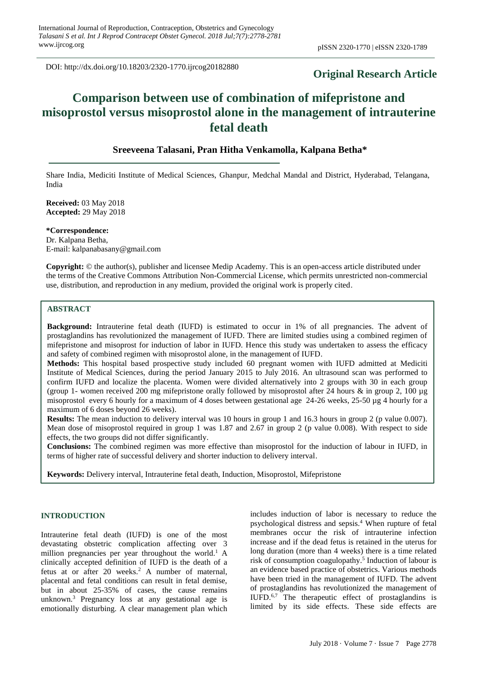DOI: http://dx.doi.org/10.18203/2320-1770.ijrcog20182880

# **Original Research Article**

# **Comparison between use of combination of mifepristone and misoprostol versus misoprostol alone in the management of intrauterine fetal death**

# **Sreeveena Talasani, Pran Hitha Venkamolla, Kalpana Betha\***

Share India, Mediciti Institute of Medical Sciences, Ghanpur, Medchal Mandal and District, Hyderabad, Telangana, India

**Received:** 03 May 2018 **Accepted:** 29 May 2018

**\*Correspondence:** Dr. Kalpana Betha, E-mail: kalpanabasany@gmail.com

**Copyright:** © the author(s), publisher and licensee Medip Academy. This is an open-access article distributed under the terms of the Creative Commons Attribution Non-Commercial License, which permits unrestricted non-commercial use, distribution, and reproduction in any medium, provided the original work is properly cited.

## **ABSTRACT**

**Background:** Intrauterine fetal death (IUFD) is estimated to occur in 1% of all pregnancies. The advent of prostaglandins has revolutionized the management of IUFD. There are limited studies using a combined regimen of mifepristone and misoprost for induction of labor in IUFD. Hence this study was undertaken to assess the efficacy and safety of combined regimen with misoprostol alone, in the management of IUFD.

**Methods:** This hospital based prospective study included 60 pregnant women with IUFD admitted at Mediciti Institute of Medical Sciences, during the period January 2015 to July 2016. An ultrasound scan was performed to confirm IUFD and localize the placenta. Women were divided alternatively into 2 groups with 30 in each group (group 1- women received 200 mg mifepristone orally followed by misoprostol after 24 hours & in group 2, 100 µg misoprostol every 6 hourly for a maximum of 4 doses between gestational age 24-26 weeks, 25-50 µg 4 hourly for a maximum of 6 doses beyond 26 weeks).

**Results:** The mean induction to delivery interval was 10 hours in group 1 and 16.3 hours in group 2 (p value 0.007). Mean dose of misoprostol required in group 1 was 1.87 and 2.67 in group 2 (p value 0.008). With respect to side effects, the two groups did not differ significantly.

**Conclusions:** The combined regimen was more effective than misoprostol for the induction of labour in IUFD, in terms of higher rate of successful delivery and shorter induction to delivery interval.

**Keywords:** Delivery interval, Intrauterine fetal death, Induction, Misoprostol, Mifepristone

#### **INTRODUCTION**

Intrauterine fetal death (IUFD) is one of the most devastating obstetric complication affecting over 3 million pregnancies per year throughout the world.<sup>1</sup> A clinically accepted definition of IUFD is the death of a fetus at or after 20 weeks. <sup>2</sup> A number of maternal, placental and fetal conditions can result in fetal demise, but in about 25-35% of cases, the cause remains unknown. <sup>3</sup> Pregnancy loss at any gestational age is emotionally disturbing. A clear management plan which includes induction of labor is necessary to reduce the psychological distress and sepsis. <sup>4</sup> When rupture of fetal membranes occur the risk of intrauterine infection increase and if the dead fetus is retained in the uterus for long duration (more than 4 weeks) there is a time related risk of consumption coagulopathy. 5 Induction of labour is an evidence based practice of obstetrics. Various methods have been tried in the management of IUFD. The advent of prostaglandins has revolutionized the management of IUFD. 6,7 The therapeutic effect of prostaglandins is limited by its side effects. These side effects are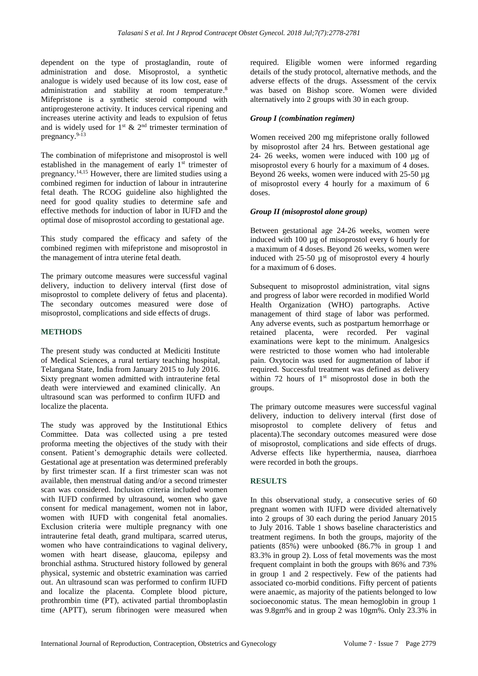dependent on the type of prostaglandin, route of administration and dose. Misoprostol, a synthetic analogue is widely used because of its low cost, ease of administration and stability at room temperature.<sup>8</sup> Mifepristone is a synthetic steroid compound with antiprogesterone activity. It induces cervical ripening and increases uterine activity and leads to expulsion of fetus and is widely used for  $1^{st}$  &  $2^{nd}$  trimester termination of pregnancy. 9-13

The combination of mifepristone and misoprostol is well established in the management of early 1<sup>st</sup> trimester of pregnancy. 14,15 However, there are limited studies using a combined regimen for induction of labour in intrauterine fetal death. The RCOG guideline also highlighted the need for good quality studies to determine safe and effective methods for induction of labor in IUFD and the optimal dose of misoprostol according to gestational age.

This study compared the efficacy and safety of the combined regimen with mifepristone and misoprostol in the management of intra uterine fetal death.

The primary outcome measures were successful vaginal delivery, induction to delivery interval (first dose of misoprostol to complete delivery of fetus and placenta). The secondary outcomes measured were dose of misoprostol, complications and side effects of drugs.

## **METHODS**

The present study was conducted at Mediciti Institute of Medical Sciences, a rural tertiary teaching hospital, Telangana State, India from January 2015 to July 2016. Sixty pregnant women admitted with intrauterine fetal death were interviewed and examined clinically. An ultrasound scan was performed to confirm IUFD and localize the placenta.

The study was approved by the Institutional Ethics Committee. Data was collected using a pre tested proforma meeting the objectives of the study with their consent. Patient's demographic details were collected. Gestational age at presentation was determined preferably by first trimester scan. If a first trimester scan was not available, then menstrual dating and/or a second trimester scan was considered. Inclusion criteria included women with IUFD confirmed by ultrasound, women who gave consent for medical management, women not in labor, women with IUFD with congenital fetal anomalies. Exclusion criteria were multiple pregnancy with one intrauterine fetal death, grand multipara, scarred uterus, women who have contraindications to vaginal delivery, women with heart disease, glaucoma, epilepsy and bronchial asthma. Structured history followed by general physical, systemic and obstetric examination was carried out. An ultrasound scan was performed to confirm IUFD and localize the placenta. Complete blood picture, prothrombin time (PT), activated partial thromboplastin time (APTT), serum fibrinogen were measured when required. Eligible women were informed regarding details of the study protocol, alternative methods, and the adverse effects of the drugs. Assessment of the cervix was based on Bishop score. Women were divided alternatively into 2 groups with 30 in each group.

#### *Group I (combination regimen)*

Women received 200 mg mifepristone orally followed by misoprostol after 24 hrs. Between gestational age 24- 26 weeks, women were induced with 100 µg of misoprostol every 6 hourly for a maximum of 4 doses. Beyond 26 weeks, women were induced with 25-50 µg of misoprostol every 4 hourly for a maximum of 6 doses.

## *Group II (misoprostol alone group)*

Between gestational age 24-26 weeks, women were induced with 100 µg of misoprostol every 6 hourly for a maximum of 4 doses. Beyond 26 weeks, women were induced with 25-50 µg of misoprostol every 4 hourly for a maximum of 6 doses.

Subsequent to misoprostol administration, vital signs and progress of labor were recorded in modified World Health Organization (WHO) partographs. Active management of third stage of labor was performed. Any adverse events, such as postpartum hemorrhage or retained placenta, were recorded. Per vaginal examinations were kept to the minimum. Analgesics were restricted to those women who had intolerable pain. Oxytocin was used for augmentation of labor if required. Successful treatment was defined as delivery within 72 hours of  $1<sup>st</sup>$  misoprostol dose in both the groups.

The primary outcome measures were successful vaginal delivery, induction to delivery interval (first dose of misoprostol to complete delivery of fetus and placenta).The secondary outcomes measured were dose of misoprostol, complications and side effects of drugs. Adverse effects like hyperthermia, nausea, diarrhoea were recorded in both the groups.

## **RESULTS**

In this observational study, a consecutive series of 60 pregnant women with IUFD were divided alternatively into 2 groups of 30 each during the period January 2015 to July 2016. Table 1 shows baseline characteristics and treatment regimens. In both the groups, majority of the patients (85%) were unbooked (86.7% in group 1 and 83.3% in group 2). Loss of fetal movements was the most frequent complaint in both the groups with 86% and 73% in group 1 and 2 respectively. Few of the patients had associated co-morbid conditions. Fifty percent of patients were anaemic, as majority of the patients belonged to low socioeconomic status. The mean hemoglobin in group 1 was 9.8gm% and in group 2 was 10gm%. Only 23.3% in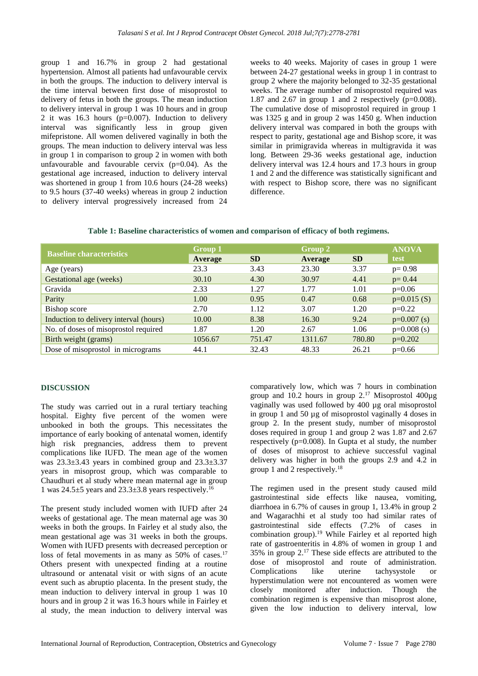group 1 and 16.7% in group 2 had gestational hypertension. Almost all patients had unfavourable cervix in both the groups. The induction to delivery interval is the time interval between first dose of misoprostol to delivery of fetus in both the groups. The mean induction to delivery interval in group 1 was 10 hours and in group 2 it was 16.3 hours (p=0.007). Induction to delivery interval was significantly less in group given mifepristone. All women delivered vaginally in both the groups. The mean induction to delivery interval was less in group 1 in comparison to group 2 in women with both unfavourable and favourable cervix  $(p=0.04)$ . As the gestational age increased, induction to delivery interval was shortened in group 1 from 10.6 hours (24-28 weeks) to 9.5 hours (37-40 weeks) whereas in group 2 induction to delivery interval progressively increased from 24 weeks to 40 weeks. Majority of cases in group 1 were between 24-27 gestational weeks in group 1 in contrast to group 2 where the majority belonged to 32-35 gestational weeks. The average number of misoprostol required was 1.87 and 2.67 in group 1 and 2 respectively  $(p=0.008)$ . The cumulative dose of misoprostol required in group 1 was 1325 g and in group 2 was 1450 g. When induction delivery interval was compared in both the groups with respect to parity, gestational age and Bishop score, it was similar in primigravida whereas in multigravida it was long. Between 29-36 weeks gestational age, induction delivery interval was 12.4 hours and 17.3 hours in group 1 and 2 and the difference was statistically significant and with respect to Bishop score, there was no significant difference.

| <b>Baseline characteristics</b>        | <b>Group 1</b> |           | Group 2 |           | <b>ANOVA</b>  |
|----------------------------------------|----------------|-----------|---------|-----------|---------------|
|                                        | Average        | <b>SD</b> | Average | <b>SD</b> | test          |
| Age (years)                            | 23.3           | 3.43      | 23.30   | 3.37      | $p = 0.98$    |
| Gestational age (weeks)                | 30.10          | 4.30      | 30.97   | 4.41      | $p = 0.44$    |
| Gravida                                | 2.33           | 1.27      | 1.77    | 1.01      | $p=0.06$      |
| Parity                                 | 1.00           | 0.95      | 0.47    | 0.68      | $p=0.015(S)$  |
| Bishop score                           | 2.70           | 1.12      | 3.07    | 1.20      | $p=0.22$      |
| Induction to delivery interval (hours) | 10.00          | 8.38      | 16.30   | 9.24      | $p=0.007$ (s) |
| No. of doses of misoprostol required   | 1.87           | 1.20      | 2.67    | 1.06      | $p=0.008$ (s) |
| Birth weight (grams)                   | 1056.67        | 751.47    | 1311.67 | 780.80    | $p=0.202$     |
| Dose of misoprostol in micrograms      | 44.1           | 32.43     | 48.33   | 26.21     | $p=0.66$      |

## **DISCUSSION**

The study was carried out in a rural tertiary teaching hospital. Eighty five percent of the women were unbooked in both the groups. This necessitates the importance of early booking of antenatal women, identify high risk pregnancies, address them to prevent complications like IUFD. The mean age of the women was  $23.3\pm3.43$  years in combined group and  $23.3\pm3.37$ years in misoprost group, which was comparable to Chaudhuri et al study where mean maternal age in group 1 was  $24.5\pm5$  years and  $23.3\pm3.8$  years respectively.<sup>16</sup>

The present study included women with IUFD after 24 weeks of gestational age. The mean maternal age was 30 weeks in both the groups. In Fairley et al study also, the mean gestational age was 31 weeks in both the groups. Women with IUFD presents with decreased perception or loss of fetal movements in as many as 50% of cases.<sup>17</sup> Others present with unexpected finding at a routine ultrasound or antenatal visit or with signs of an acute event such as abruptio placenta. In the present study, the mean induction to delivery interval in group 1 was 10 hours and in group 2 it was 16.3 hours while in Fairley et al study, the mean induction to delivery interval was comparatively low, which was 7 hours in combination group and 10.2 hours in group  $2^{17}$  Misoprostol 400 $\mu$ g vaginally was used followed by 400 µg oral misoprostol in group 1 and 50 µg of misoprostol vaginally 4 doses in group 2. In the present study, number of misoprostol doses required in group 1 and group 2 was 1.87 and 2.67 respectively (p=0.008). In Gupta et al study, the number of doses of misoprost to achieve successful vaginal delivery was higher in both the groups 2.9 and 4.2 in group 1 and 2 respectively.<sup>18</sup>

The regimen used in the present study caused mild gastrointestinal side effects like nausea, vomiting, diarrhoea in 6.7% of causes in group 1, 13.4% in group 2 and Wagarachhi et al study too had similar rates of gastrointestinal side effects (7.2% of cases in combination group).<sup>19</sup> While Fairley et al reported high rate of gastroenteritis in 4.8% of women in group 1 and 35% in group 2.<sup>17</sup> These side effects are attributed to the dose of misoprostol and route of administration. Complications like uterine tachysystole or hyperstimulation were not encountered as women were closely monitored after induction. Though the combination regimen is expensive than misoprost alone, given the low induction to delivery interval, low